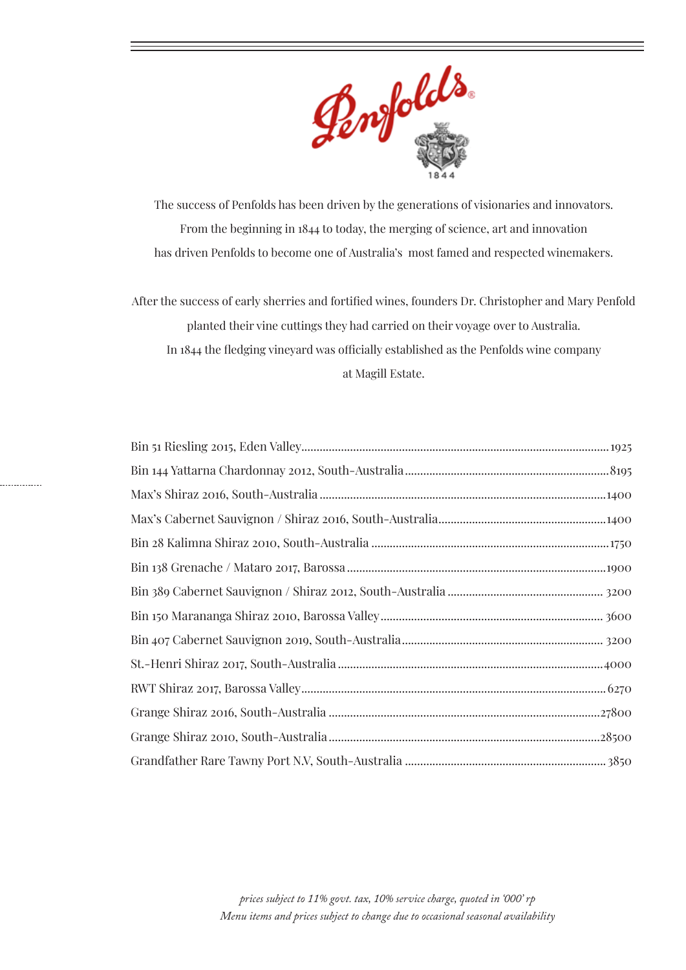

The success of Penfolds has been driven by the generations of visionaries and innovators. From the beginning in 1844 to today, the merging of science, art and innovation has driven Penfolds to become one of Australia's most famed and respected winemakers.

After the success of early sherries and fortified wines, founders Dr. Christopher and Mary Penfold planted their vine cuttings they had carried on their voyage over to Australia. In 1844 the fledging vineyard was officially established as the Penfolds wine company at Magill Estate.

. . . . . . . . . . . .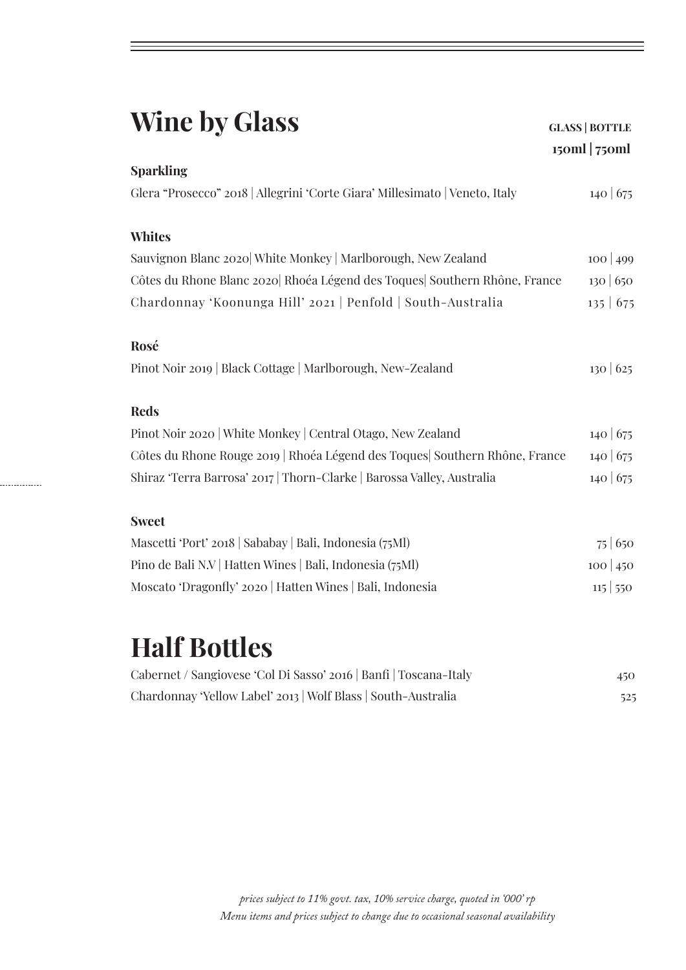| <b>Wine by Glass</b>                                                         | <b>GLASS   BOTTLE</b><br>$15$ oml   $75$ oml |
|------------------------------------------------------------------------------|----------------------------------------------|
| <b>Sparkling</b>                                                             |                                              |
| Glera "Prosecco" 2018   Allegrini 'Corte Giara' Millesimato   Veneto, Italy  | 140 675                                      |
| <b>Whites</b>                                                                |                                              |
| Sauvignon Blanc 2020 White Monkey   Marlborough, New Zealand                 | $100 \mid 499$                               |
| Côtes du Rhone Blanc 2020 Rhoéa Légend des Toques Southern Rhône, France     | 130 650                                      |
| Chardonnay 'Koonunga Hill' 2021   Penfold   South-Australia                  | $135 \mid 675$                               |
| Rosé<br>Pinot Noir 2019   Black Cottage   Marlborough, New-Zealand           | 130 625                                      |
| <b>Reds</b>                                                                  |                                              |
| Pinot Noir 2020   White Monkey   Central Otago, New Zealand                  | 140 675                                      |
| Côtes du Rhone Rouge 2019   Rhoéa Légend des Toques   Southern Rhône, France | 140 675                                      |
| Shiraz 'Terra Barrosa' 2017   Thorn-Clarke   Barossa Valley, Australia       | 140 675                                      |
| <b>Sweet</b>                                                                 |                                              |
| Mascetti 'Port' 2018   Sababay   Bali, Indonesia (75Ml)                      | 75 650                                       |
| Pino de Bali N.V   Hatten Wines   Bali, Indonesia (75Ml)                     | $100 \mid 450$                               |
| Moscato 'Dragonfly' 2020   Hatten Wines   Bali, Indonesia                    | $115 \mid 550$                               |
|                                                                              |                                              |

# **Half Bottles**

. . . . . . . . . . . . .

| Cabernet / Sangiovese 'Col Di Sasso' 2016   Banfi   Toscana-Italy | 450 |
|-------------------------------------------------------------------|-----|
| Chardonnay 'Yellow Label' 2013   Wolf Blass   South-Australia     | 525 |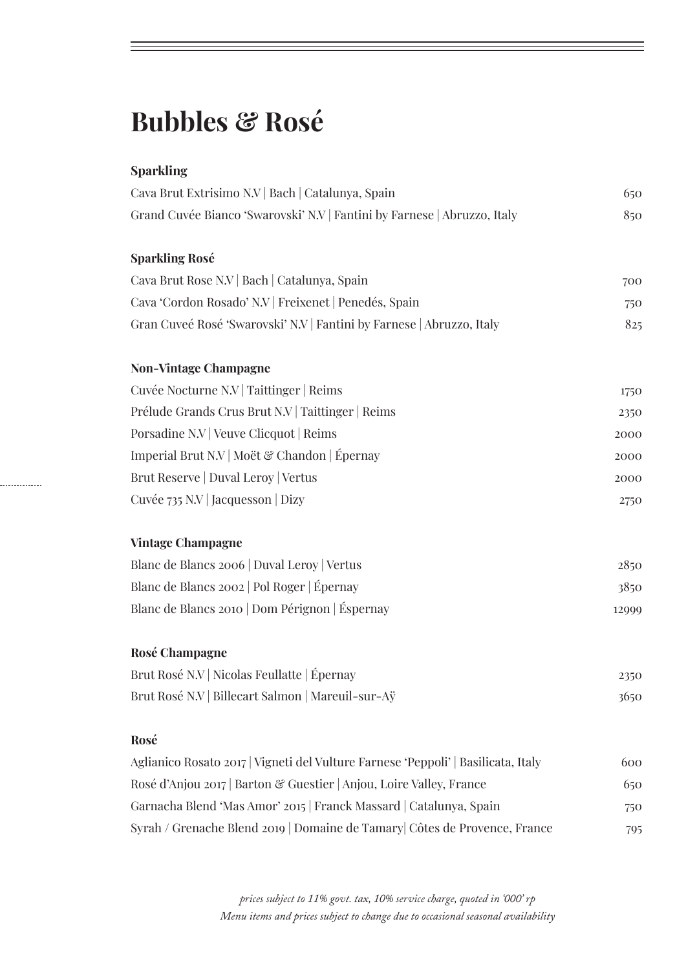## **Bubbles & Rosé**

### **Sparkling**

. . . . . . . . . . . . . .

| Cava Brut Extrisimo N.V   Bach   Catalunya, Spain                                 | 650   |
|-----------------------------------------------------------------------------------|-------|
| Grand Cuvée Bianco 'Swarovski' N.V   Fantini by Farnese   Abruzzo, Italy          | 850   |
|                                                                                   |       |
| <b>Sparkling Rosé</b>                                                             |       |
| Cava Brut Rose N.V   Bach   Catalunya, Spain                                      | 700   |
| Cava 'Cordon Rosado' N.V   Freixenet   Penedés, Spain                             | 750   |
| Gran Cuveé Rosé 'Swarovski' N.V Fantini by Farnese   Abruzzo, Italy               | 825   |
| <b>Non-Vintage Champagne</b>                                                      |       |
| Cuvée Nocturne N.V   Taittinger   Reims                                           | 1750  |
| Prélude Grands Crus Brut N.V   Taittinger   Reims                                 | 2350  |
| Porsadine N.V   Veuve Clicquot   Reims                                            | 2000  |
| Imperial Brut N.V   Moët & Chandon   Épernay                                      | 2000  |
| Brut Reserve   Duval Leroy   Vertus                                               | 2000  |
| Cuvée 735 N.V   Jacquesson   Dizy                                                 | 2750  |
| <b>Vintage Champagne</b>                                                          |       |
| Blanc de Blancs 2006   Duval Leroy   Vertus                                       | 2850  |
| Blanc de Blancs 2002   Pol Roger   Épernay                                        | 3850  |
| Blanc de Blancs 2010   Dom Pérignon   Éspernay                                    | 12999 |
| Rosé Champagne                                                                    |       |
| Brut Rosé N.V   Nicolas Feullatte   Épernay                                       | 2350  |
| Brut Rosé N.V   Billecart Salmon   Mareuil-sur-Aÿ                                 | 3650  |
| Rosé                                                                              |       |
| Aglianico Rosato 2017   Vigneti del Vulture Farnese 'Peppoli'   Basilicata, Italy | 600   |
| Rosé d'Anjou 2017   Barton & Guestier   Anjou, Loire Valley, France               | 650   |
| Garnacha Blend 'Mas Amor' 2015   Franck Massard   Catalunya, Spain                | 750   |
| Syrah / Grenache Blend 2019   Domaine de Tamary Côtes de Provence, France         | 795   |

*prices subject to 11% govt. tax, 10% service charge, quoted in '000' rp Menu items and prices subject to change due to occasional seasonal availability*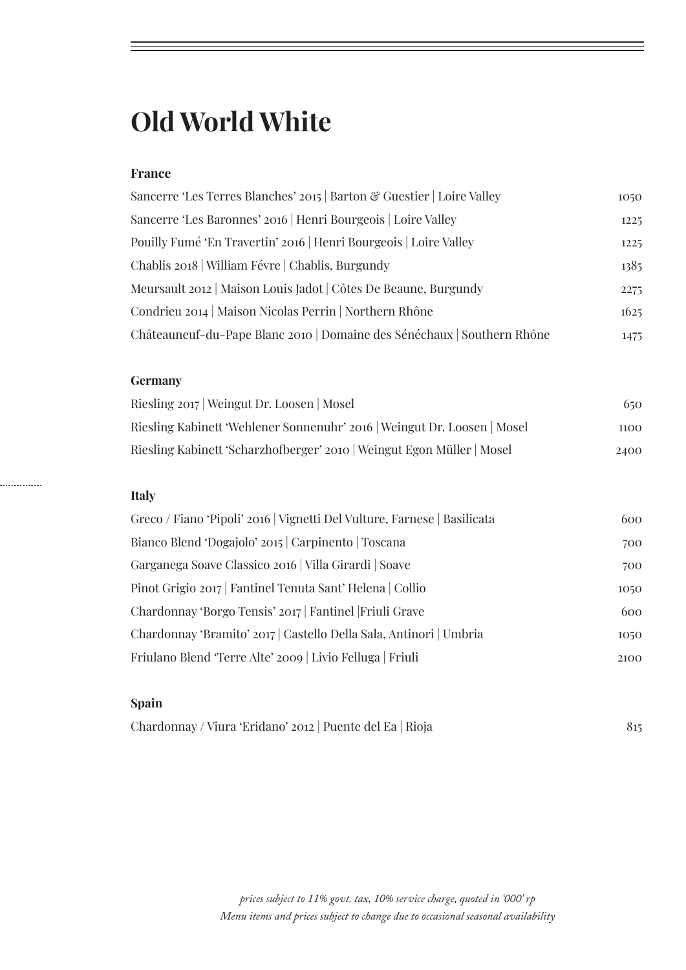## **Old World White**

### **France**

| Sancerre 'Les Terres Blanches' 2015   Barton & Guestier   Loire Valley  | 1050 |
|-------------------------------------------------------------------------|------|
| Sancerre 'Les Baronnes' 2016   Henri Bourgeois   Loire Valley           | 1225 |
| Pouilly Fumé 'En Travertin' 2016   Henri Bourgeois   Loire Valley       | 1225 |
| Chablis 2018   William Févre   Chablis, Burgundy                        | 1385 |
| Meursault 2012   Maison Louis Jadot   Côtes De Beaune, Burgundy         | 2275 |
| Condrieu 2014   Maison Nicolas Perrin   Northern Rhône                  | 1625 |
| Châteauneuf-du-Pape Blanc 2010   Domaine des Sénéchaux   Southern Rhône | 1475 |

#### **Germany**

| Riesling 2017   Weingut Dr. Loosen   Mosel                               | 650  |
|--------------------------------------------------------------------------|------|
| Riesling Kabinett 'Wehlener Sonnenuhr' 2016   Weingut Dr. Loosen   Mosel | 1100 |
| Riesling Kabinett 'Scharzhofberger' 2010   Weingut Egon Müller   Mosel   | 2400 |

#### **Italy**

. . . . . . . . . . . . .

| Greco / Fiano 'Pipoli' 2016   Vignetti Del Vulture, Farnese   Basilicata | 600  |
|--------------------------------------------------------------------------|------|
| Bianco Blend 'Dogajolo' 2015   Carpinento   Toscana                      | 700  |
| Garganega Soave Classico 2016   Villa Girardi   Soave                    | 700  |
| Pinot Grigio 2017 Fantinel Tenuta Sant' Helena Collio                    | 1050 |
| Chardonnay 'Borgo Tensis' 2017   Fantinel   Friuli Grave                 | 600  |
| Chardonnay 'Bramito' 2017   Castello Della Sala, Antinori   Umbria       | 1050 |
| Friulano Blend 'Terre Alte' 2009   Livio Felluga   Friuli                | 2100 |
|                                                                          |      |

### **Spain**

| Chardonnay / Viura 'Eridano' 2012   Puente del Ea   Rioja |  |
|-----------------------------------------------------------|--|
|-----------------------------------------------------------|--|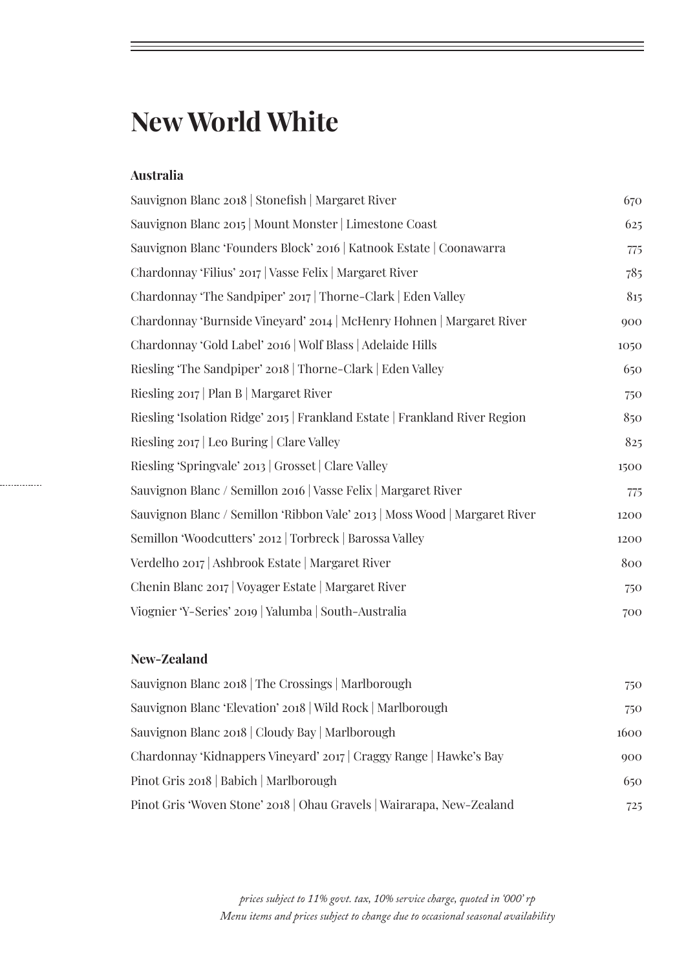## **New World White**

#### **Australia**

| Sauvignon Blanc 2018   Stonefish   Margaret River                           | 670  |
|-----------------------------------------------------------------------------|------|
| Sauvignon Blanc 2015   Mount Monster   Limestone Coast                      | 625  |
| Sauvignon Blanc 'Founders Block' 2016   Katnook Estate   Coonawarra         | 775  |
| Chardonnay 'Filius' 2017   Vasse Felix   Margaret River                     | 785  |
| Chardonnay 'The Sandpiper' 2017   Thorne-Clark   Eden Valley                | 815  |
| Chardonnay 'Burnside Vineyard' 2014   McHenry Hohnen   Margaret River       | 900  |
| Chardonnay 'Gold Label' 2016   Wolf Blass   Adelaide Hills                  | 1050 |
| Riesling 'The Sandpiper' 2018   Thorne-Clark   Eden Valley                  | 650  |
| Riesling 2017   Plan B   Margaret River                                     | 750  |
| Riesling 'Isolation Ridge' 2015   Frankland Estate   Frankland River Region | 850  |
| Riesling 2017   Leo Buring   Clare Valley                                   | 825  |
| Riesling 'Springvale' 2013   Grosset   Clare Valley                         | 1500 |
| Sauvignon Blanc / Semillon 2016   Vasse Felix   Margaret River              | 775  |
| Sauvignon Blanc / Semillon 'Ribbon Vale' 2013   Moss Wood   Margaret River  | 1200 |
| Semillon 'Woodcutters' 2012   Torbreck   Barossa Valley                     | 1200 |
| Verdelho 2017   Ashbrook Estate   Margaret River                            | 800  |
| Chenin Blanc 2017   Voyager Estate   Margaret River                         | 750  |
| Viognier 'Y-Series' 2019   Yalumba   South-Australia                        | 700  |

#### **New-Zealand**

. . . . . . . . . . . . . . .

| Sauvignon Blanc 2018   The Crossings   Marlborough                    | 750  |
|-----------------------------------------------------------------------|------|
| Sauvignon Blanc 'Elevation' 2018   Wild Rock   Marlborough            | 750  |
| Sauvignon Blanc 2018   Cloudy Bay   Marlborough                       | 1600 |
| Chardonnay 'Kidnappers Vineyard' 2017   Craggy Range   Hawke's Bay    | 900  |
| Pinot Gris 2018   Babich   Marlborough                                | 650  |
| Pinot Gris 'Woven Stone' 2018   Ohau Gravels   Wairarapa, New-Zealand | 725  |

*prices subject to 11% govt. tax, 10% service charge, quoted in '000' rp Menu items and prices subject to change due to occasional seasonal availability*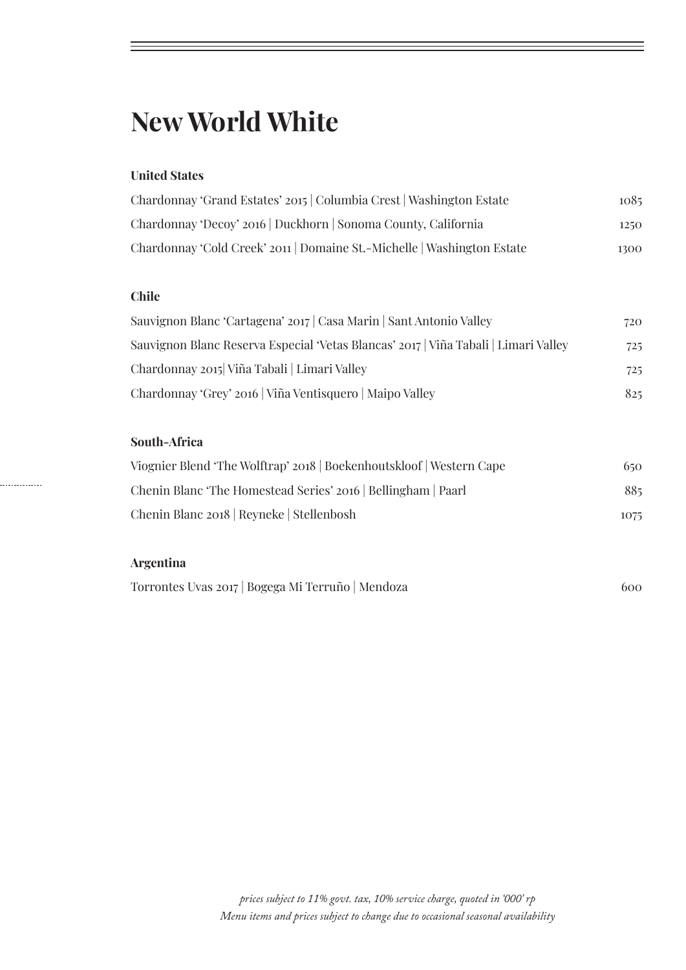## **New World White**

#### **United States**

| Chardonnay 'Grand Estates' 2015   Columbia Crest   Washington Estate  | 1085 |
|-----------------------------------------------------------------------|------|
| Chardonnay 'Decoy' 2016   Duckhorn   Sonoma County, California        | 1250 |
| Chardonnay 'Cold Creek' 2011 Domaine St.-Michelle   Washington Estate | 1300 |

### **Chile**

| Sauvignon Blanc 'Cartagena' 2017   Casa Marin   Sant Antonio Valley                 | 720 |
|-------------------------------------------------------------------------------------|-----|
| Sauvignon Blanc Reserva Especial 'Vetas Blancas' 2017   Viña Tabali   Limari Valley | 725 |
| Chardonnay 2015 Viña Tabali   Limari Valley                                         | 725 |
| Chardonnay 'Grey' 2016   Viña Ventisquero   Maipo Valley                            | 825 |

### **South-Africa**

| Viognier Blend 'The Wolftrap' 2018   Boekenhoutskloof   Western Cape | 650  |
|----------------------------------------------------------------------|------|
| Chenin Blanc 'The Homestead Series' 2016   Bellingham   Paarl        | 885  |
| Chenin Blanc 2018   Reyneke   Stellenbosh                            | 1075 |

### **Argentina**

. . . . . . . . . . . . . .

| Torrontes Uvas 2017   Bogega Mi Terruño   Mendoza |  | 600 |
|---------------------------------------------------|--|-----|
|---------------------------------------------------|--|-----|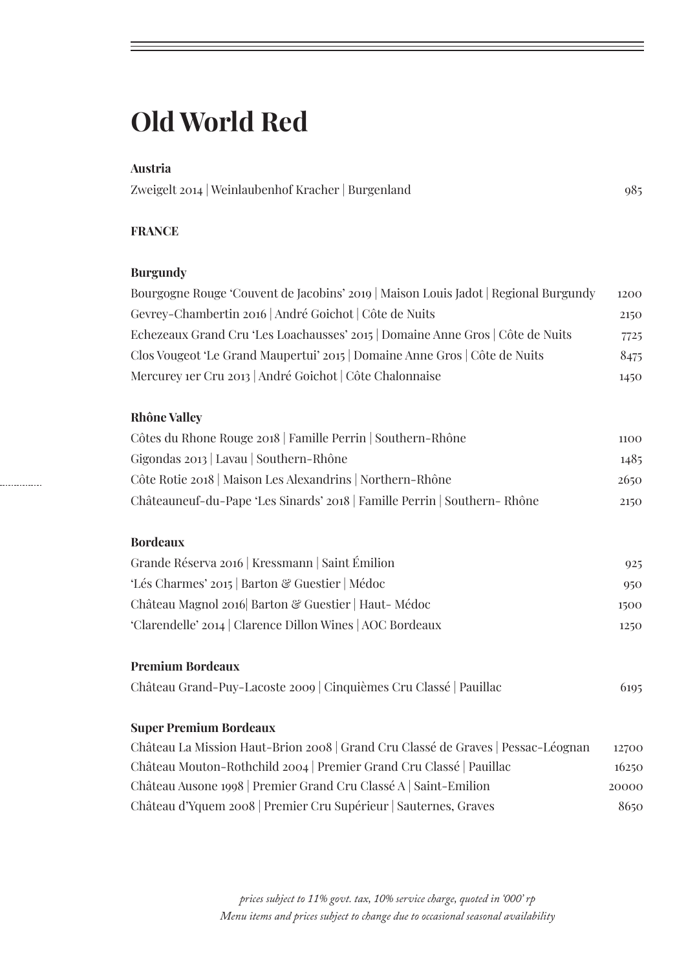## **Old World Red**

#### **Austria**

Zweigelt 2014 | Weinlaubenhof Kracher | Burgenland 985

#### **FRANCE**

#### **Burgundy**

| Bourgogne Rouge 'Couvent de Jacobins' 2019   Maison Louis Jadot   Regional Burgundy | 1200 |
|-------------------------------------------------------------------------------------|------|
| Gevrey-Chambertin 2016   André Goichot   Côte de Nuits                              | 2150 |
| Echezeaux Grand Cru 'Les Loachausses' 2015   Domaine Anne Gros   Côte de Nuits      | 7725 |
| Clos Vougeot 'Le Grand Maupertui' 2015 Domaine Anne Gros   Côte de Nuits            | 8475 |
| Mercurey 1er Cru 2013 André Goichot   Côte Chalonnaise                              | 1450 |

#### **Rhône Valley**

| Côtes du Rhone Rouge 2018 Famille Perrin Southern-Rhône                  | 1100 |
|--------------------------------------------------------------------------|------|
| Gigondas 2013   Lavau   Southern-Rhône                                   | 1485 |
| Côte Rotie 2018   Maison Les Alexandrins   Northern-Rhône                | 2650 |
| Châteauneuf-du-Pape 'Les Sinards' 2018   Famille Perrin   Southern-Rhône | 2150 |

#### **Bordeaux**

. . . . . . . . . . . . . . .

| Grande Réserva 2016   Kressmann   Saint Émilion           | 925  |
|-----------------------------------------------------------|------|
| 'Lés Charmes' 2015   Barton & Guestier   Médoc            | 950  |
| Château Magnol 2016 Barton & Guestier   Haut-Médoc        | 1500 |
| 'Clarendelle' 2014   Clarence Dillon Wines   AOC Bordeaux | 1250 |

#### **Premium Bordeaux**

Château Grand-Puy-Lacoste 2009 | Cinquièmes Cru Classé | Pauillac 6195

#### **Super Premium Bordeaux**

| Château La Mission Haut-Brion 2008   Grand Cru Classé de Graves   Pessac-Léognan | 12700 |
|----------------------------------------------------------------------------------|-------|
| Château Mouton-Rothchild 2004   Premier Grand Cru Classé   Pauillac              | 16250 |
| Château Ausone 1998   Premier Grand Cru Classé A   Saint-Emilion                 | 20000 |
| Château d'Yquem 2008   Premier Cru Supérieur   Sauternes, Graves                 | 8650  |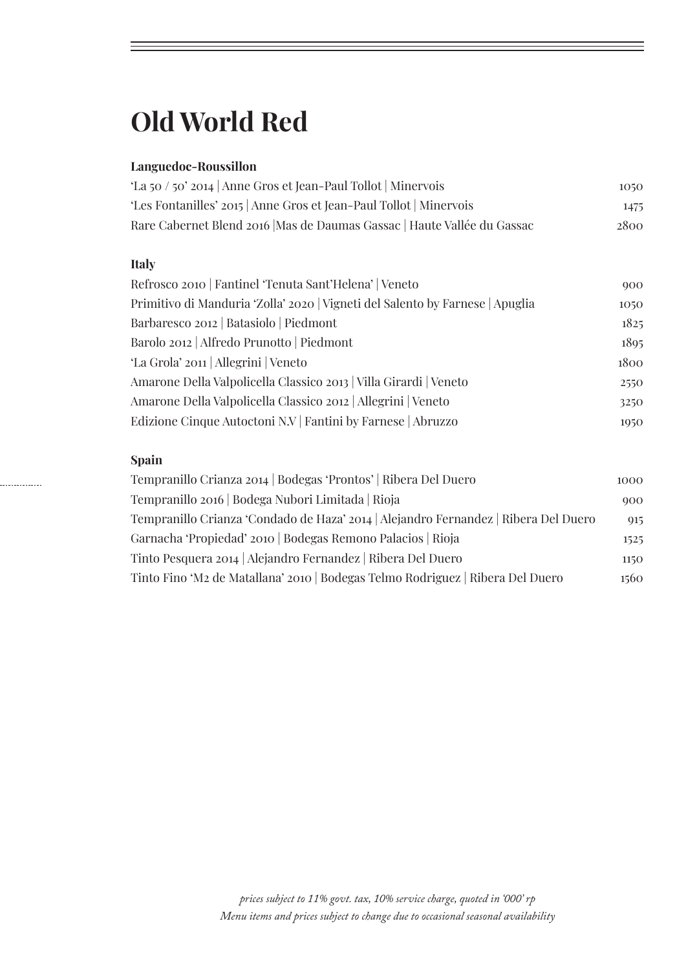## **Old World Red**

### **Languedoc-Roussillon**

| 'La 50 / 50' 2014   Anne Gros et Jean-Paul Tollot   Minervois            | 1050 |
|--------------------------------------------------------------------------|------|
| 'Les Fontanilles' 2015   Anne Gros et Jean-Paul Tollot   Minervois       | 1475 |
| Rare Cabernet Blend 2016   Mas de Daumas Gassac   Haute Vallée du Gassac | 2800 |

#### **Italy**

| Refrosco 2010   Fantinel 'Tenuta Sant'Helena'   Veneto                        | 900  |
|-------------------------------------------------------------------------------|------|
| Primitivo di Manduria 'Zolla' 2020   Vigneti del Salento by Farnese   Apuglia | 1050 |
| Barbaresco 2012   Batasiolo   Piedmont                                        | 1825 |
| Barolo 2012   Alfredo Prunotto   Piedmont                                     | 1895 |
| 'La Grola' 2011   Allegrini   Veneto                                          | 1800 |
| Amarone Della Valpolicella Classico 2013   Villa Girardi   Veneto             | 2550 |
| Amarone Della Valpolicella Classico 2012   Allegrini   Veneto                 | 3250 |
| Edizione Cinque Autoctoni N.V   Fantini by Farnese   Abruzzo                  | 1950 |

### **Spain**

. . . . . . . . . . . . .

| Tempranillo Crianza 2014   Bodegas 'Prontos'   Ribera Del Duero                     | 1000 |
|-------------------------------------------------------------------------------------|------|
| Tempranillo 2016   Bodega Nubori Limitada   Rioja                                   | 900  |
| Tempranillo Crianza 'Condado de Haza' 2014   Alejandro Fernandez   Ribera Del Duero | 915  |
| Garnacha 'Propiedad' 2010   Bodegas Remono Palacios   Rioja                         | 1525 |
| Tinto Pesquera 2014   Alejandro Fernandez   Ribera Del Duero                        | 1150 |
| Tinto Fino 'M2 de Matallana' 2010   Bodegas Telmo Rodriguez   Ribera Del Duero      | 1560 |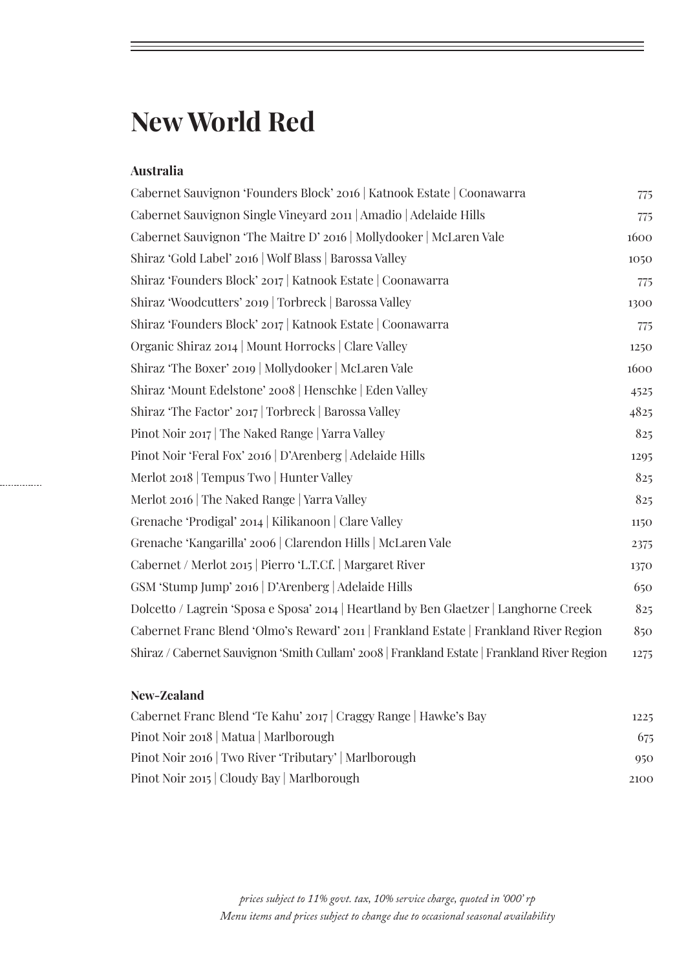## **New World Red**

#### **Australia**

| Cabernet Sauvignon 'Founders Block' 2016   Katnook Estate   Coonawarra                      | 775  |
|---------------------------------------------------------------------------------------------|------|
| Cabernet Sauvignon Single Vineyard 2011   Amadio   Adelaide Hills                           | 775  |
| Cabernet Sauvignon 'The Maitre D' 2016   Mollydooker   McLaren Vale                         | 1600 |
| Shiraz 'Gold Label' 2016   Wolf Blass   Barossa Valley                                      | 1050 |
| Shiraz 'Founders Block' 2017   Katnook Estate   Coonawarra                                  | 775  |
| Shiraz 'Woodcutters' 2019   Torbreck   Barossa Valley                                       | 1300 |
| Shiraz 'Founders Block' 2017   Katnook Estate   Coonawarra                                  | 775  |
| Organic Shiraz 2014   Mount Horrocks   Clare Valley                                         | 1250 |
| Shiraz 'The Boxer' 2019   Mollydooker   McLaren Vale                                        | 1600 |
| Shiraz 'Mount Edelstone' 2008   Henschke   Eden Valley                                      | 4525 |
| Shiraz 'The Factor' 2017   Torbreck   Barossa Valley                                        | 4825 |
| Pinot Noir 2017 The Naked Range   Yarra Valley                                              | 825  |
| Pinot Noir 'Feral Fox' 2016   D'Arenberg   Adelaide Hills                                   | 1295 |
| Merlot 2018   Tempus Two   Hunter Valley                                                    | 825  |
| Merlot 2016   The Naked Range   Yarra Valley                                                | 825  |
| Grenache 'Prodigal' 2014   Kilikanoon   Clare Valley                                        | 1150 |
| Grenache 'Kangarilla' 2006   Clarendon Hills   McLaren Vale                                 | 2375 |
| Cabernet / Merlot 2015   Pierro 'L.T.Cf.   Margaret River                                   | 1370 |
| GSM 'Stump Jump' 2016   D'Arenberg   Adelaide Hills                                         | 650  |
| Dolcetto / Lagrein 'Sposa e Sposa' 2014   Heartland by Ben Glaetzer   Langhorne Creek       | 825  |
| Cabernet Franc Blend 'Olmo's Reward' 2011   Frankland Estate   Frankland River Region       | 850  |
| Shiraz / Cabernet Sauvignon 'Smith Cullam' 2008   Frankland Estate   Frankland River Region | 1275 |

### **New-Zealand**

. . . . . . . . . . . . . .

| Cabernet Franc Blend 'Te Kahu' 2017   Craggy Range   Hawke's Bay | 1225 |
|------------------------------------------------------------------|------|
| Pinot Noir 2018   Matua   Marlborough                            | 675  |
| Pinot Noir 2016   Two River 'Tributary'   Marlborough            | 950  |
| Pinot Noir 2015   Cloudy Bay   Marlborough                       | 2100 |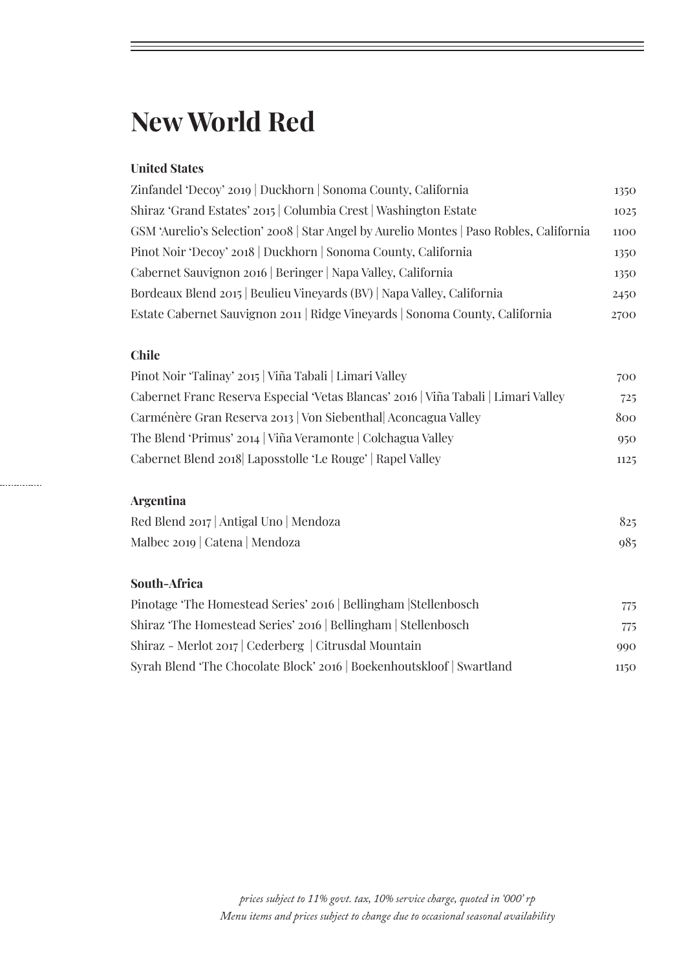## **New World Red**

#### **United States**

| Zinfandel 'Decoy' 2019   Duckhorn   Sonoma County, California                           | 1350 |
|-----------------------------------------------------------------------------------------|------|
| Shiraz 'Grand Estates' 2015   Columbia Crest   Washington Estate                        | 1025 |
| GSM 'Aurelio's Selection' 2008   Star Angel by Aurelio Montes   Paso Robles, California | 1100 |
| Pinot Noir 'Decoy' 2018   Duckhorn   Sonoma County, California                          | 1350 |
| Cabernet Sauvignon 2016   Beringer   Napa Valley, California                            | 1350 |
| Bordeaux Blend 2015   Beulieu Vineyards (BV)   Napa Valley, California                  | 2450 |
| Estate Cabernet Sauvignon 2011   Ridge Vineyards   Sonoma County, California            | 2700 |
|                                                                                         |      |

#### **Chile**

| Pinot Noir 'Talinay' 2015   Viña Tabali   Limari Valley                            | 700  |
|------------------------------------------------------------------------------------|------|
| Cabernet Franc Reserva Especial 'Vetas Blancas' 2016   Viña Tabali   Limari Valley | 725  |
| Carménère Gran Reserva 2013   Von Siebenthal Aconcagua Valley                      | 800  |
| The Blend 'Primus' 2014   Viña Veramonte   Colchagua Valley                        | 950  |
| Cabernet Blend 2018 Laposstolle 'Le Rouge'   Rapel Valley                          | 1125 |
|                                                                                    |      |

## **Argentina**

. . . . . . . . . . . . . .

| Red Blend 2017   Antigal Uno   Mendoza | 825 |
|----------------------------------------|-----|
| Malbec 2019   Catena   Mendoza         | 985 |

#### **South-Africa**

| Pinotage 'The Homestead Series' 2016   Bellingham   Stellenbosch      | 775  |
|-----------------------------------------------------------------------|------|
| Shiraz 'The Homestead Series' 2016   Bellingham   Stellenbosch        | 775  |
| Shiraz - Merlot 2017   Cederberg   Citrusdal Mountain                 | 990  |
| Syrah Blend 'The Chocolate Block' 2016   Boekenhoutskloof   Swartland | 1150 |